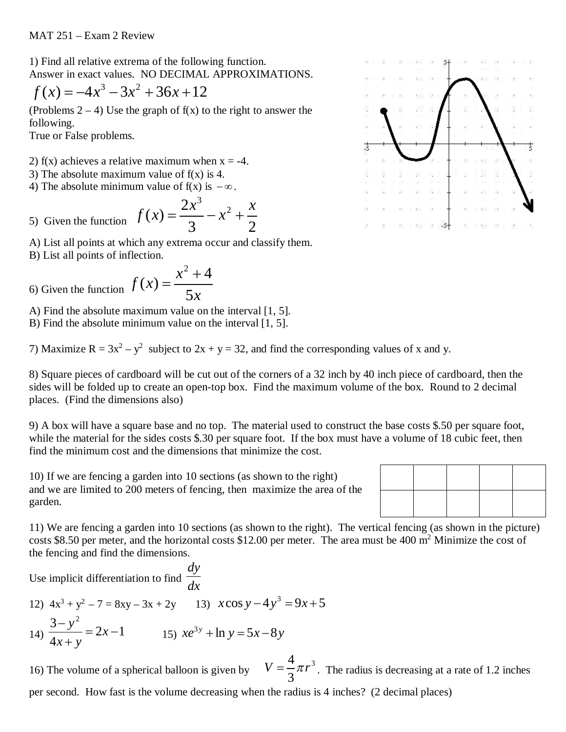1) Find all relative extrema of the following function. Answer in exact values. NO DECIMAL APPROXIMATIONS.

$$
f(x) = -4x^3 - 3x^2 + 36x + 12
$$

(Problems  $2 - 4$ ) Use the graph of  $f(x)$  to the right to answer the following.

True or False problems.

- 2) f(x) achieves a relative maximum when  $x = -4$ .
- 3) The absolute maximum value of  $f(x)$  is 4.
- 4) The absolute minimum value of  $f(x)$  is  $-\infty$ .

5) Given the function 
$$
f(x) = \frac{2x^3}{3} - x^2 + \frac{x}{2}
$$

A) List all points at which any extrema occur and classify them.

B) List all points of inflection.

6) Given the function 
$$
f(x) = \frac{x^2 + 4}{5x}
$$

A) Find the absolute maximum value on the interval [1, 5].

B) Find the absolute minimum value on the interval [1, 5].

7) Maximize  $R = 3x^2 - y^2$  subject to  $2x + y = 32$ , and find the corresponding values of x and y.

8) Square pieces of cardboard will be cut out of the corners of a 32 inch by 40 inch piece of cardboard, then the sides will be folded up to create an open-top box. Find the maximum volume of the box. Round to 2 decimal places. (Find the dimensions also)

9) A box will have a square base and no top. The material used to construct the base costs \$.50 per square foot, while the material for the sides costs \$.30 per square foot. If the box must have a volume of 18 cubic feet, then find the minimum cost and the dimensions that minimize the cost.

10) If we are fencing a garden into 10 sections (as shown to the right) and we are limited to 200 meters of fencing, then maximize the area of the garden.



Use implicit differentiation to find  $\frac{1}{dx}$ *dy*

12) 
$$
4x^3 + y^2 - 7 = 8xy - 3x + 2y
$$
  
\n13)  $x \cos y - 4y^3 = 9x + 5$   
\n14)  $\frac{3 - y^2}{4x + y} = 2x - 1$   
\n15)  $xe^{3y} + \ln y = 5x - 8y$ 

16) The volume of a spherical balloon is given by 3 3 4  $V = \frac{1}{2} \pi r^3$ . The radius is decreasing at a rate of 1.2 inches per second. How fast is the volume decreasing when the radius is 4 inches? (2 decimal places)

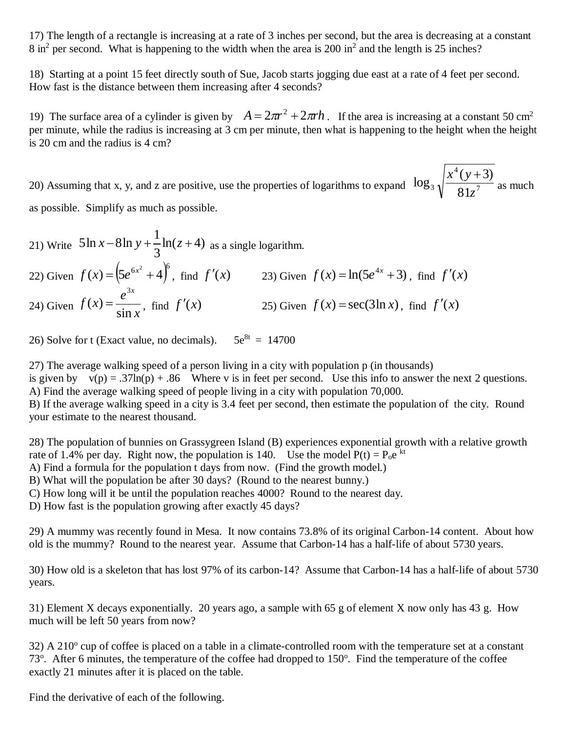17) The length of a rectangle is increasing at a rate of 3 inches per second, but the area is decreasing at a constant 8 in<sup>2</sup> per second. What is happening to the width when the area is 200 in<sup>2</sup> and the length is 25 inches?

18) Starting at a point 15 feet directly south of Sue, Jacob starts jogging due east at a rate of 4 feet per second. How fast is the distance between them increasing after 4 seconds?

19) The surface area of a cylinder is given by  $A = 2\pi r^2 + 2\pi rh$ . If the area is increasing at a constant 50 cm<sup>2</sup> per minute, while the radius is increasing at 3 cm per minute, then what is happening to the height when the height is 20 cm and the radius is 4 cm?

20) Assuming that x, y, and z are positive, use the properties of logarithms to expand  $10g_3 \sqrt{\frac{q}{\sqrt{21}}g}$ 4  $3 \text{ V}$  81.  $(y+3)$ log *z*  $x^4(y+)$ as much

as possible. Simplify as much as possible.

21) Write  $5\ln x - 8\ln y + \frac{1}{2}\ln(z+4)$ 3 1  $5\ln x - 8\ln y + \frac{1}{2}\ln(z+4)$  as a single logarithm. 22) Given  $f(x) = (5e^{6x^2} + 4)^6$ , find  $f'(x)$  23) Given  $f(x) = \ln(5e^{4x} + 3)$ , find  $f'(x)$ 24) Given  $f(x) = \frac{1}{\sin x}$ *e f x x* sin  $\left( x\right)$ 3 25) Given  $f(x) = \sec(3\ln x)$ , find  $f'(x)$ 

26) Solve for t (Exact value, no decimals).  $5e^{8t} = 14700$ 

27) The average walking speed of a person living in a city with population p (in thousands) is given by  $v(p) = .37\ln(p) + .86$  Where v is in feet per second. Use this info to answer the next 2 questions. A) Find the average walking speed of people living in a city with population 70,000.

B) If the average walking speed in a city is 3.4 feet per second, then estimate the population of the city. Round your estimate to the nearest thousand.

28) The population of bunnies on Grassygreen Island (B) experiences exponential growth with a relative growth rate of 1.4% per day. Right now, the population is 140. Use the model  $P(t) = P_0 e^{kt}$ 

A) Find a formula for the population t days from now. (Find the growth model.)

B) What will the population be after 30 days? (Round to the nearest bunny.)

C) How long will it be until the population reaches 4000? Round to the nearest day.

D) How fast is the population growing after exactly 45 days?

29) A mummy was recently found in Mesa. It now contains 73.8% of its original Carbon-14 content. About how old is the mummy? Round to the nearest year. Assume that Carbon-14 has a half-life of about 5730 years.

30) How old is a skeleton that has lost 97% of its carbon-14? Assume that Carbon-14 has a half-life of about 5730 years.

31) Element X decays exponentially. 20 years ago, a sample with 65 g of element X now only has 43 g. How much will be left 50 years from now?

 $32)$  A  $210^{\circ}$  cup of coffee is placed on a table in a climate-controlled room with the temperature set at a constant 73<sup>o</sup>. After 6 minutes, the temperature of the coffee had dropped to 150<sup>o</sup>. Find the temperature of the coffee exactly 21 minutes after it is placed on the table.

Find the derivative of each of the following.